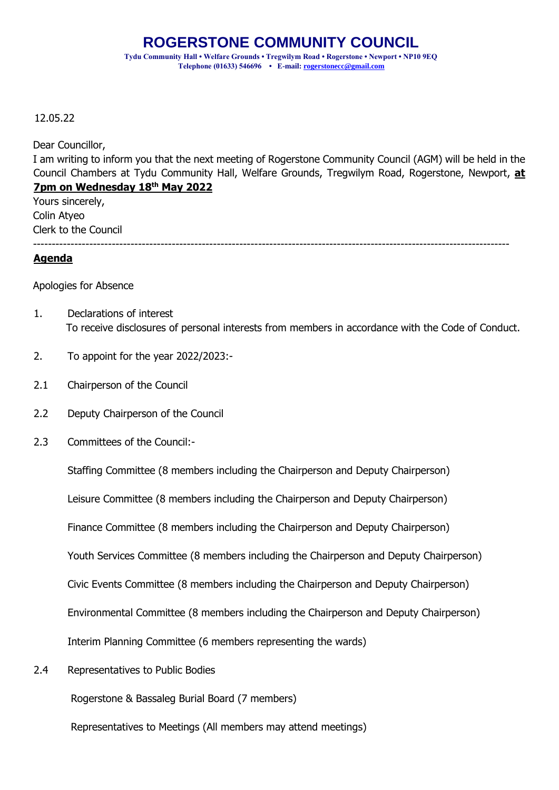## 12.05.22

Dear Councillor,

I am writing to inform you that the next meeting of Rogerstone Community Council (AGM) will be held in the Council Chambers at Tydu Community Hall, Welfare Grounds, Tregwilym Road, Rogerstone, Newport, **at 7pm on Wednesday 18th May 2022** 

-------------------------------------------------------------------------------------------------------------------------------

Yours sincerely, Colin Atyeo Clerk to the Council

## **Agenda**

Apologies for Absence

- 1. Declarations of interest To receive disclosures of personal interests from members in accordance with the Code of Conduct.
- 2. To appoint for the year 2022/2023:-
- 2.1 Chairperson of the Council
- 2.2 Deputy Chairperson of the Council
- 2.3 Committees of the Council:-

Staffing Committee (8 members including the Chairperson and Deputy Chairperson)

Leisure Committee (8 members including the Chairperson and Deputy Chairperson)

Finance Committee (8 members including the Chairperson and Deputy Chairperson)

Youth Services Committee (8 members including the Chairperson and Deputy Chairperson)

Civic Events Committee (8 members including the Chairperson and Deputy Chairperson)

Environmental Committee (8 members including the Chairperson and Deputy Chairperson)

Interim Planning Committee (6 members representing the wards)

2.4 Representatives to Public Bodies

Rogerstone & Bassaleg Burial Board (7 members)

Representatives to Meetings (All members may attend meetings)